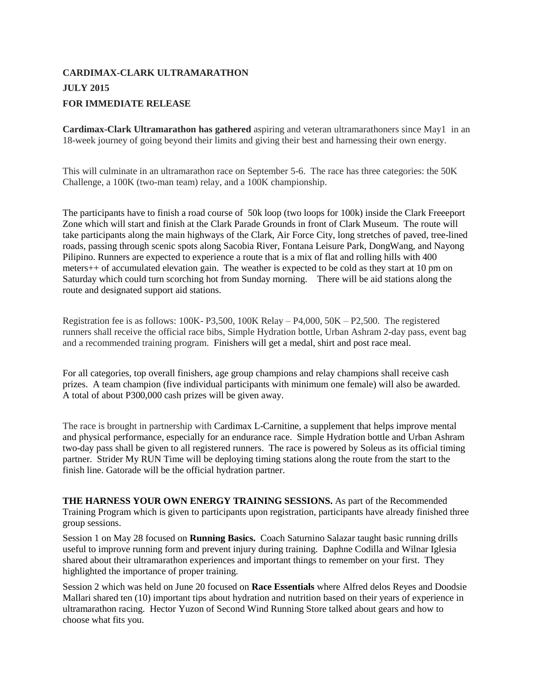## **CARDIMAX-CLARK ULTRAMARATHON JULY 2015 FOR IMMEDIATE RELEASE**

**Cardimax-Clark Ultramarathon has gathered** aspiring and veteran ultramarathoners since May1 in an 18-week journey of going beyond their limits and giving their best and harnessing their own energy.

This will culminate in an ultramarathon race on September 5-6. The race has three categories: the 50K Challenge, a 100K (two-man team) relay, and a 100K championship.

The participants have to finish a road course of 50k loop (two loops for 100k) inside the Clark Freeeport Zone which will start and finish at the Clark Parade Grounds in front of Clark Museum. The route will take participants along the main highways of the Clark, Air Force City, long stretches of paved, tree-lined roads, passing through scenic spots along Sacobia River, Fontana Leisure Park, DongWang, and Nayong Pilipino. Runners are expected to experience a route that is a mix of flat and rolling hills with 400 meters++ of accumulated elevation gain. The weather is expected to be cold as they start at 10 pm on Saturday which could turn scorching hot from Sunday morning. There will be aid stations along the route and designated support aid stations.

Registration fee is as follows: 100K- P3,500, 100K Relay – P4,000, 50K – P2,500. The registered runners shall receive the official race bibs, Simple Hydration bottle, Urban Ashram 2-day pass, event bag and a recommended training program. Finishers will get a medal, shirt and post race meal.

For all categories, top overall finishers, age group champions and relay champions shall receive cash prizes. A team champion (five individual participants with minimum one female) will also be awarded. A total of about P300,000 cash prizes will be given away.

The race is brought in partnership with Cardimax L-Carnitine, a supplement that helps improve mental and physical performance, especially for an endurance race. Simple Hydration bottle and Urban Ashram two-day pass shall be given to all registered runners. The race is powered by Soleus as its official timing partner. Strider My RUN Time will be deploying timing stations along the route from the start to the finish line. Gatorade will be the official hydration partner.

**THE HARNESS YOUR OWN ENERGY TRAINING SESSIONS.** As part of the Recommended Training Program which is given to participants upon registration, participants have already finished three group sessions.

Session 1 on May 28 focused on **Running Basics.** Coach Saturnino Salazar taught basic running drills useful to improve running form and prevent injury during training. Daphne Codilla and Wilnar Iglesia shared about their ultramarathon experiences and important things to remember on your first. They highlighted the importance of proper training.

Session 2 which was held on June 20 focused on **Race Essentials** where Alfred delos Reyes and Doodsie Mallari shared ten (10) important tips about hydration and nutrition based on their years of experience in ultramarathon racing. Hector Yuzon of Second Wind Running Store talked about gears and how to choose what fits you.